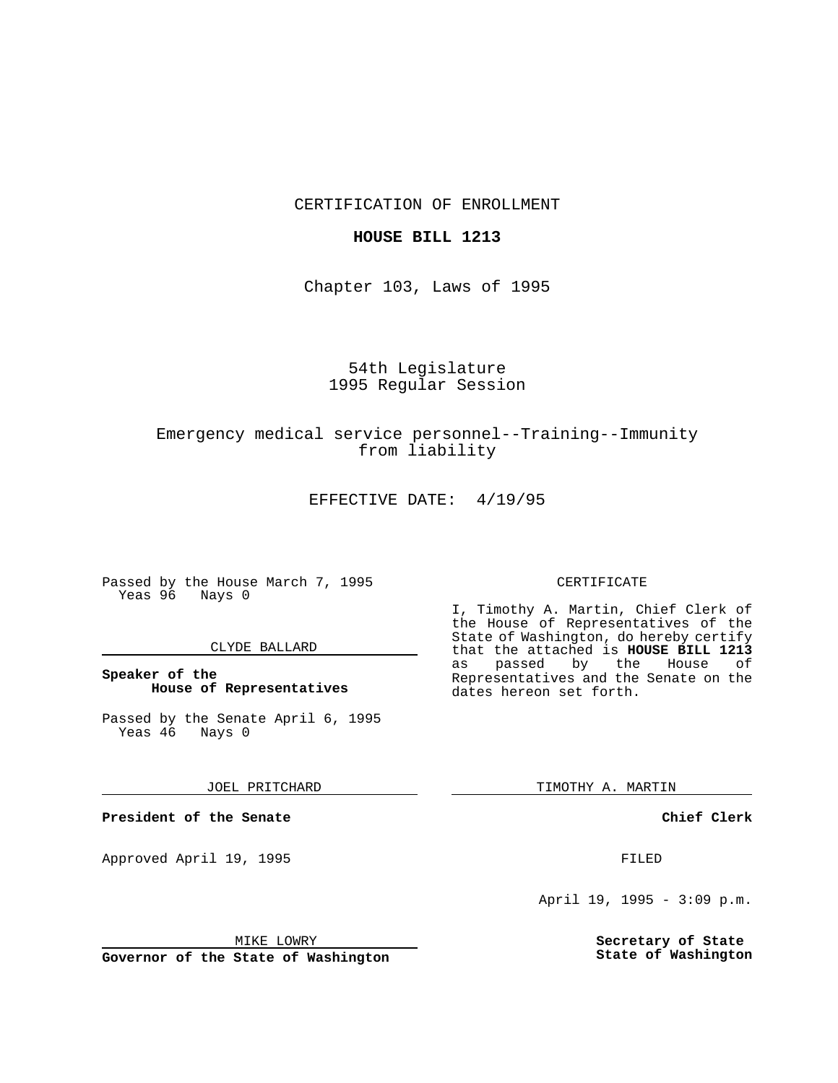CERTIFICATION OF ENROLLMENT

### **HOUSE BILL 1213**

Chapter 103, Laws of 1995

# 54th Legislature 1995 Regular Session

## Emergency medical service personnel--Training--Immunity from liability

EFFECTIVE DATE: 4/19/95

Passed by the House March 7, 1995 Yeas 96 Nays 0

#### CLYDE BALLARD

### **Speaker of the House of Representatives**

Passed by the Senate April 6, 1995<br>Yeas 46 Nays 0  $Yeas$  46

#### JOEL PRITCHARD

**President of the Senate**

Approved April 19, 1995 FILED

## MIKE LOWRY

**Governor of the State of Washington**

#### CERTIFICATE

I, Timothy A. Martin, Chief Clerk of the House of Representatives of the State of Washington, do hereby certify that the attached is **HOUSE BILL 1213** as passed by the House of Representatives and the Senate on the dates hereon set forth.

TIMOTHY A. MARTIN

### **Chief Clerk**

April 19, 1995 - 3:09 p.m.

**Secretary of State State of Washington**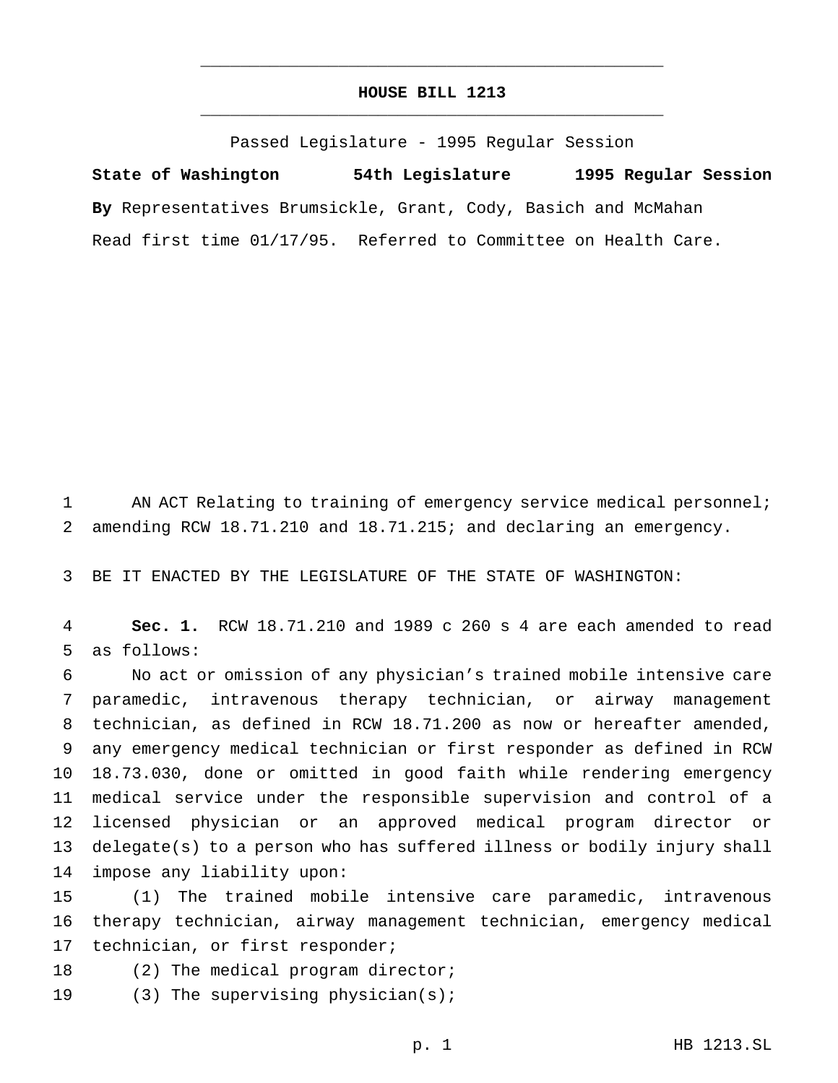## **HOUSE BILL 1213** \_\_\_\_\_\_\_\_\_\_\_\_\_\_\_\_\_\_\_\_\_\_\_\_\_\_\_\_\_\_\_\_\_\_\_\_\_\_\_\_\_\_\_\_\_\_\_

\_\_\_\_\_\_\_\_\_\_\_\_\_\_\_\_\_\_\_\_\_\_\_\_\_\_\_\_\_\_\_\_\_\_\_\_\_\_\_\_\_\_\_\_\_\_\_

Passed Legislature - 1995 Regular Session

**State of Washington 54th Legislature 1995 Regular Session By** Representatives Brumsickle, Grant, Cody, Basich and McMahan Read first time 01/17/95. Referred to Committee on Health Care.

1 AN ACT Relating to training of emergency service medical personnel; 2 amending RCW 18.71.210 and 18.71.215; and declaring an emergency.

3 BE IT ENACTED BY THE LEGISLATURE OF THE STATE OF WASHINGTON:

4 **Sec. 1.** RCW 18.71.210 and 1989 c 260 s 4 are each amended to read 5 as follows:

 No act or omission of any physician's trained mobile intensive care paramedic, intravenous therapy technician, or airway management technician, as defined in RCW 18.71.200 as now or hereafter amended, any emergency medical technician or first responder as defined in RCW 18.73.030, done or omitted in good faith while rendering emergency medical service under the responsible supervision and control of a licensed physician or an approved medical program director or delegate(s) to a person who has suffered illness or bodily injury shall impose any liability upon:

15 (1) The trained mobile intensive care paramedic, intravenous 16 therapy technician, airway management technician, emergency medical 17 technician, or first responder;

- 18 (2) The medical program director;
- 19 (3) The supervising physician(s);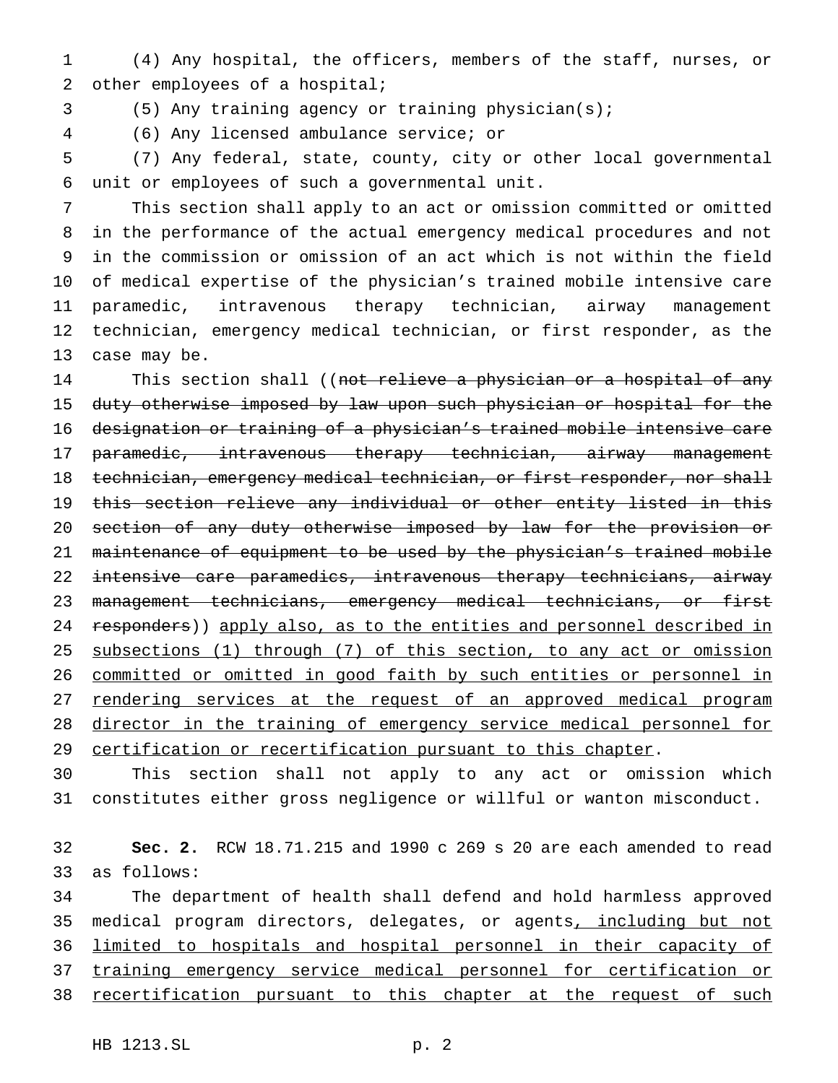(4) Any hospital, the officers, members of the staff, nurses, or 2 other employees of a hospital;

(5) Any training agency or training physician(s);

(6) Any licensed ambulance service; or

 (7) Any federal, state, county, city or other local governmental unit or employees of such a governmental unit.

 This section shall apply to an act or omission committed or omitted in the performance of the actual emergency medical procedures and not in the commission or omission of an act which is not within the field of medical expertise of the physician's trained mobile intensive care paramedic, intravenous therapy technician, airway management technician, emergency medical technician, or first responder, as the case may be.

14 This section shall ((not relieve a physician or a hospital of any duty otherwise imposed by law upon such physician or hospital for the designation or training of a physician's trained mobile intensive care 17 paramedic, intravenous therapy technician, airway management 18 technician, emergency medical technician, or first responder, nor shall 19 this section relieve any individual or other entity listed in this 20 section of any duty otherwise imposed by law for the provision or maintenance of equipment to be used by the physician's trained mobile intensive care paramedics, intravenous therapy technicians, airway management technicians, emergency medical technicians, or first 24 responders)) apply also, as to the entities and personnel described in 25 subsections (1) through (7) of this section, to any act or omission committed or omitted in good faith by such entities or personnel in 27 rendering services at the request of an approved medical program director in the training of emergency service medical personnel for 29 certification or recertification pursuant to this chapter.

 This section shall not apply to any act or omission which constitutes either gross negligence or willful or wanton misconduct.

 **Sec. 2.** RCW 18.71.215 and 1990 c 269 s 20 are each amended to read as follows:

 The department of health shall defend and hold harmless approved 35 medical program directors, delegates, or agents, including but not limited to hospitals and hospital personnel in their capacity of training emergency service medical personnel for certification or 38 recertification pursuant to this chapter at the request of such